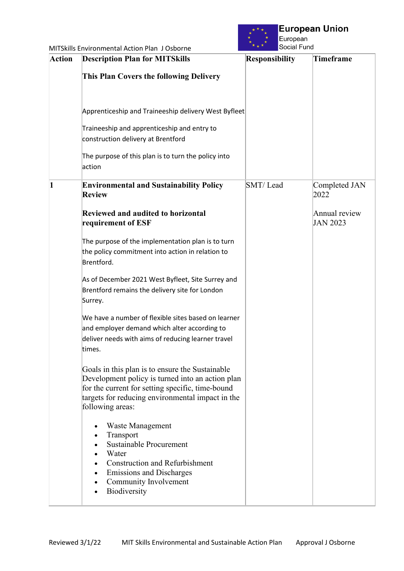

| <b>Action</b> | <b>Description Plan for MITSkills</b>                                                                                                                                                                                           | <b>Responsibility</b> | <b>Timeframe</b>                 |
|---------------|---------------------------------------------------------------------------------------------------------------------------------------------------------------------------------------------------------------------------------|-----------------------|----------------------------------|
|               | <b>This Plan Covers the following Delivery</b>                                                                                                                                                                                  |                       |                                  |
|               | Apprenticeship and Traineeship delivery West Byfleet                                                                                                                                                                            |                       |                                  |
|               | Traineeship and apprenticeship and entry to<br>construction delivery at Brentford                                                                                                                                               |                       |                                  |
|               | The purpose of this plan is to turn the policy into<br>action                                                                                                                                                                   |                       |                                  |
|               | <b>Environmental and Sustainability Policy</b><br><b>Review</b>                                                                                                                                                                 | SMT/Lead              | Completed JAN<br>2022            |
|               | <b>Reviewed and audited to horizontal</b><br>requirement of ESF                                                                                                                                                                 |                       | Annual review<br><b>JAN 2023</b> |
|               | The purpose of the implementation plan is to turn<br>the policy commitment into action in relation to<br>Brentford.                                                                                                             |                       |                                  |
|               | As of December 2021 West Byfleet, Site Surrey and<br>Brentford remains the delivery site for London<br>Surrey.                                                                                                                  |                       |                                  |
|               | We have a number of flexible sites based on learner<br>and employer demand which alter according to<br>deliver needs with aims of reducing learner travel<br>times.                                                             |                       |                                  |
|               | Goals in this plan is to ensure the Sustainable<br>Development policy is turned into an action plan<br>for the current for setting specific, time-bound<br>targets for reducing environmental impact in the<br>following areas: |                       |                                  |
|               | Waste Management<br>Transport<br>Sustainable Procurement<br>Water<br><b>Construction and Refurbishment</b><br>$\bullet$<br><b>Emissions and Discharges</b><br>$\bullet$<br>Community Involvement<br>$\bullet$<br>Biodiversity   |                       |                                  |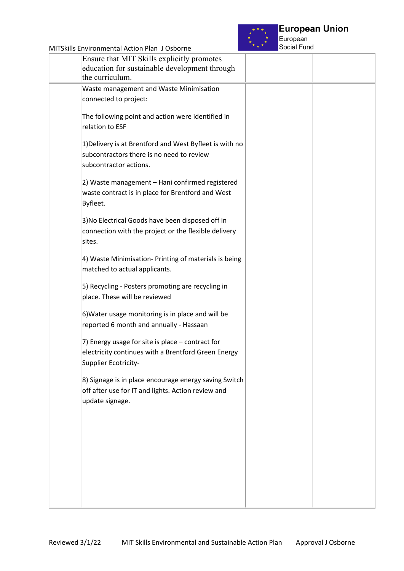

European Social Fund

| Ensure that MIT Skills explicitly promotes<br>education for sustainable development through<br>the curriculum.                  |  |
|---------------------------------------------------------------------------------------------------------------------------------|--|
| Waste management and Waste Minimisation<br>connected to project:                                                                |  |
| The following point and action were identified in<br>relation to ESF                                                            |  |
| 1) Delivery is at Brentford and West Byfleet is with no<br>subcontractors there is no need to review<br>subcontractor actions.  |  |
| 2) Waste management - Hani confirmed registered<br>waste contract is in place for Brentford and West<br>Byfleet.                |  |
| 3) No Electrical Goods have been disposed off in<br>connection with the project or the flexible delivery<br>sites.              |  |
| 4) Waste Minimisation- Printing of materials is being<br>matched to actual applicants.                                          |  |
| 5) Recycling - Posters promoting are recycling in<br>place. These will be reviewed                                              |  |
| 6) Water usage monitoring is in place and will be<br>reported 6 month and annually - Hassaan                                    |  |
| 7) Energy usage for site is place - contract for<br>electricity continues with a Brentford Green Energy<br>Supplier Ecotricity- |  |
| 8) Signage is in place encourage energy saving Switch<br>off after use for IT and lights. Action review and<br>update signage.  |  |
|                                                                                                                                 |  |
|                                                                                                                                 |  |
|                                                                                                                                 |  |
|                                                                                                                                 |  |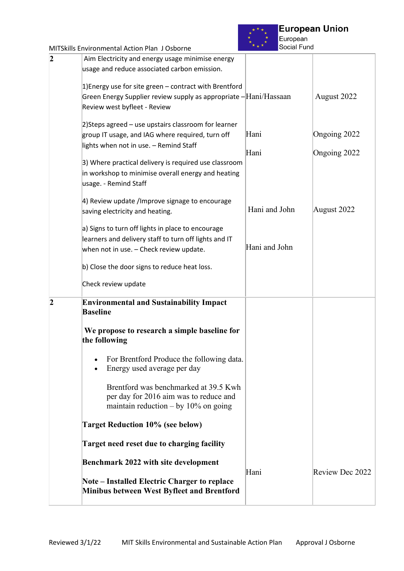

European<br>Social Fund

|                | <b>MITSkills Environmental Action Plan J Osborne</b>                                                                      | Social Fund   |                 |
|----------------|---------------------------------------------------------------------------------------------------------------------------|---------------|-----------------|
| 2              | Aim Electricity and energy usage minimise energy                                                                          |               |                 |
|                | usage and reduce associated carbon emission.                                                                              |               |                 |
|                | 1) Energy use for site green - contract with Brentford                                                                    |               |                 |
|                | Green Energy Supplier review supply as appropriate - Hani/Hassaan                                                         |               | August 2022     |
|                | Review west byfleet - Review                                                                                              |               |                 |
|                | 2) Steps agreed - use upstairs classroom for learner                                                                      |               |                 |
|                | group IT usage, and IAG where required, turn off                                                                          | Hani          | Ongoing 2022    |
|                | lights when not in use. - Remind Staff                                                                                    | Hani          | Ongoing 2022    |
|                | 3) Where practical delivery is required use classroom                                                                     |               |                 |
|                | in workshop to minimise overall energy and heating                                                                        |               |                 |
|                | usage. - Remind Staff                                                                                                     |               |                 |
|                | 4) Review update /Improve signage to encourage                                                                            |               |                 |
|                | saving electricity and heating.                                                                                           | Hani and John | August 2022     |
|                | a) Signs to turn off lights in place to encourage                                                                         |               |                 |
|                | learners and delivery staff to turn off lights and IT                                                                     |               |                 |
|                | when not in use. - Check review update.                                                                                   | Hani and John |                 |
|                | b) Close the door signs to reduce heat loss.                                                                              |               |                 |
|                | Check review update                                                                                                       |               |                 |
| $\overline{2}$ | <b>Environmental and Sustainability Impact</b><br><b>Baseline</b>                                                         |               |                 |
|                | We propose to research a simple baseline for<br>the following                                                             |               |                 |
|                | For Brentford Produce the following data.<br>Energy used average per day                                                  |               |                 |
|                | Brentford was benchmarked at 39.5 Kwh<br>per day for 2016 aim was to reduce and<br>maintain reduction $-$ by 10% on going |               |                 |
|                | <b>Target Reduction 10% (see below)</b>                                                                                   |               |                 |
|                | <b>Target need reset due to charging facility</b>                                                                         |               |                 |
|                | <b>Benchmark 2022 with site development</b>                                                                               |               |                 |
|                |                                                                                                                           | Hani          | Review Dec 2022 |
|                | <b>Note – Installed Electric Charger to replace</b><br><b>Minibus between West Byfleet and Brentford</b>                  |               |                 |
|                |                                                                                                                           |               |                 |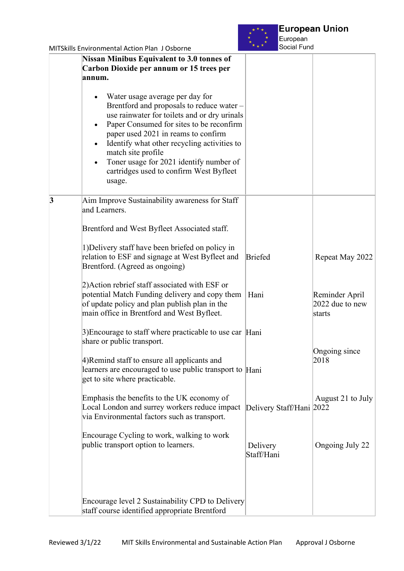

European Social Fund

| <b>Nissan Minibus Equivalent to 3.0 tonnes of</b><br>Carbon Dioxide per annum or 15 trees per<br>annum.                                                                                                                                                                                                                                                                                           |                          |                                             |
|---------------------------------------------------------------------------------------------------------------------------------------------------------------------------------------------------------------------------------------------------------------------------------------------------------------------------------------------------------------------------------------------------|--------------------------|---------------------------------------------|
| Water usage average per day for<br>Brentford and proposals to reduce water -<br>use rainwater for toilets and or dry urinals<br>Paper Consumed for sites to be reconfirm<br>paper used 2021 in reams to confirm<br>Identify what other recycling activities to<br>$\bullet$<br>match site profile<br>Toner usage for 2021 identify number of<br>cartridges used to confirm West Byfleet<br>usage. |                          |                                             |
| $\vert 3$<br>Aim Improve Sustainability awareness for Staff<br>and Learners.                                                                                                                                                                                                                                                                                                                      |                          |                                             |
| Brentford and West Byfleet Associated staff.                                                                                                                                                                                                                                                                                                                                                      |                          |                                             |
| 1) Delivery staff have been briefed on policy in<br>relation to ESF and signage at West Byfleet and<br>Brentford. (Agreed as ongoing)                                                                                                                                                                                                                                                             | <b>Briefed</b>           | Repeat May 2022                             |
| 2) Action rebrief staff associated with ESF or<br>potential Match Funding delivery and copy them<br>of update policy and plan publish plan in the<br>main office in Brentford and West Byfleet.                                                                                                                                                                                                   | Hani                     | Reminder April<br>2022 due to new<br>starts |
| 3) Encourage to staff where practicable to use car $\mathbb{H}$ ani<br>share or public transport.                                                                                                                                                                                                                                                                                                 |                          |                                             |
| 4) Remind staff to ensure all applicants and<br>learners are encouraged to use public transport to Hani<br>get to site where practicable.                                                                                                                                                                                                                                                         |                          | Ongoing since<br>2018                       |
| Emphasis the benefits to the UK economy of<br>Local London and surrey workers reduce impact<br>via Environmental factors such as transport.                                                                                                                                                                                                                                                       | Delivery Staff/Hani 2022 | August 21 to July                           |
| Encourage Cycling to work, walking to work<br>public transport option to learners.                                                                                                                                                                                                                                                                                                                | Delivery<br>Staff/Hani   | Ongoing July 22                             |
| Encourage level 2 Sustainability CPD to Delivery<br>staff course identified appropriate Brentford                                                                                                                                                                                                                                                                                                 |                          |                                             |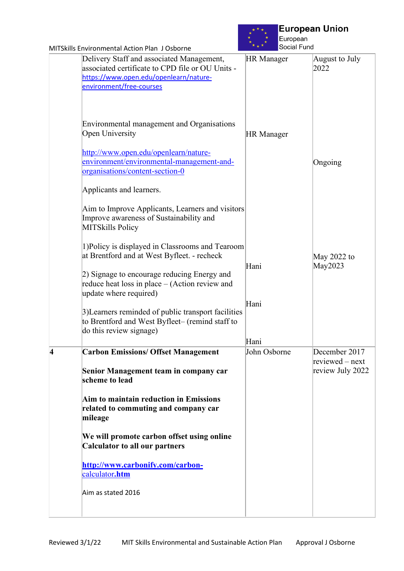

| MITSkills Environmental Action Plan J Osborne                                                                                                                                                                              | Social Fund       |                                     |
|----------------------------------------------------------------------------------------------------------------------------------------------------------------------------------------------------------------------------|-------------------|-------------------------------------|
| Delivery Staff and associated Management,<br>associated certificate to CPD file or OU Units -<br>https://www.open.edu/openlearn/nature-<br>environment/free-courses                                                        | <b>HR</b> Manager | August to July<br>2022              |
| Environmental management and Organisations<br>Open University<br>http://www.open.edu/openlearn/nature-<br>environment/environmental-management-and-<br>organisations/content-section-0<br>Applicants and learners.         | <b>HR</b> Manager | Ongoing                             |
| Aim to Improve Applicants, Learners and visitors<br>Improve awareness of Sustainability and<br><b>MITSkills Policy</b>                                                                                                     |                   |                                     |
| 1) Policy is displayed in Classrooms and Tearoom<br>at Brentford and at West Byfleet. - recheck<br>2) Signage to encourage reducing Energy and<br>reduce heat loss in place – (Action review and<br>update where required) | Hani              | May 2022 to<br>May2023              |
| 3) Learners reminded of public transport facilities<br>to Brentford and West Byfleet- (remind staff to<br>do this review signage)                                                                                          | Hani<br>Hani      |                                     |
| $\overline{\mathbf{4}}$<br><b>Carbon Emissions/ Offset Management</b>                                                                                                                                                      | John Osborne      | December 2017                       |
| Senior Management team in company car<br>scheme to lead                                                                                                                                                                    |                   | reviewed – next<br>review July 2022 |
| Aim to maintain reduction in Emissions<br>related to commuting and company car<br>mileage                                                                                                                                  |                   |                                     |
| We will promote carbon offset using online<br><b>Calculator to all our partners</b>                                                                                                                                        |                   |                                     |
| http://www.carbonify.com/carbon-<br>calculator.htm                                                                                                                                                                         |                   |                                     |
| Aim as stated 2016                                                                                                                                                                                                         |                   |                                     |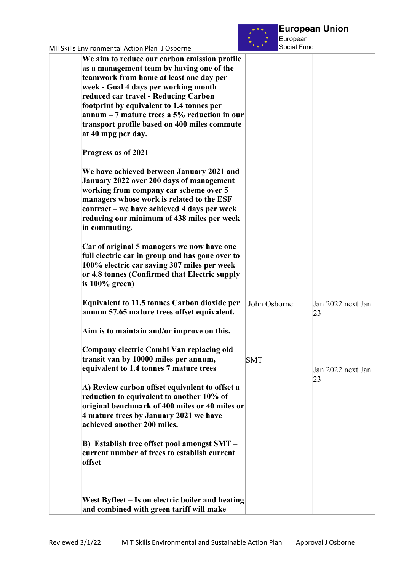

| <u>MITSKIIIS ENVILONNIENTAI ACTION PIAN JOSDONIE</u>                                                                                                                                                                                                                                                                                                                                     |              |                         |
|------------------------------------------------------------------------------------------------------------------------------------------------------------------------------------------------------------------------------------------------------------------------------------------------------------------------------------------------------------------------------------------|--------------|-------------------------|
| We aim to reduce our carbon emission profile<br>as a management team by having one of the<br>teamwork from home at least one day per<br>week - Goal 4 days per working month<br>reduced car travel - Reducing Carbon<br>footprint by equivalent to 1.4 tonnes per<br>annum $-7$ mature trees a 5% reduction in our<br>transport profile based on 400 miles commute<br>at 40 mpg per day. |              |                         |
| Progress as of 2021                                                                                                                                                                                                                                                                                                                                                                      |              |                         |
| We have achieved between January 2021 and<br>January 2022 over 200 days of management<br>working from company car scheme over 5<br>managers whose work is related to the ESF<br>contract – we have achieved 4 days per week<br>reducing our minimum of 438 miles per week<br>in commuting.                                                                                               |              |                         |
| Car of original 5 managers we now have one<br>full electric car in group and has gone over to<br>100% electric car saving 307 miles per week<br>or 4.8 tonnes (Confirmed that Electric supply<br>is $100\%$ green)                                                                                                                                                                       |              |                         |
| <b>Equivalent to 11.5 tonnes Carbon dioxide per</b><br>annum 57.65 mature trees offset equivalent.                                                                                                                                                                                                                                                                                       | John Osborne | Jan 2022 next Jan<br>23 |
| Aim is to maintain and/or improve on this.                                                                                                                                                                                                                                                                                                                                               |              |                         |
| Company electric Combi Van replacing old<br>transit van by 10000 miles per annum,<br>equivalent to 1.4 tonnes 7 mature trees                                                                                                                                                                                                                                                             | <b>SMT</b>   | Jan 2022 next Jan<br>23 |
| A) Review carbon offset equivalent to offset a<br>reduction to equivalent to another 10% of<br>original benchmark of 400 miles or 40 miles or<br>4 mature trees by January 2021 we have<br>achieved another 200 miles.                                                                                                                                                                   |              |                         |
| B) Establish tree offset pool amongst SMT -<br>current number of trees to establish current<br>$offset -$                                                                                                                                                                                                                                                                                |              |                         |
| West Byfleet – Is on electric boiler and heating<br>and combined with green tariff will make                                                                                                                                                                                                                                                                                             |              |                         |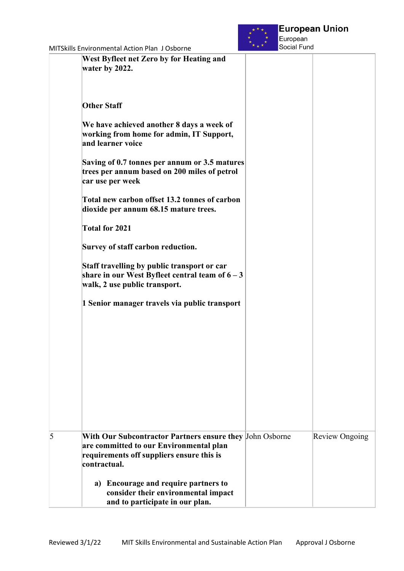

|   | West Byfleet net Zero by for Heating and<br>water by 2022.                                                                                                       |                       |
|---|------------------------------------------------------------------------------------------------------------------------------------------------------------------|-----------------------|
|   | <b>Other Staff</b>                                                                                                                                               |                       |
|   | We have achieved another 8 days a week of<br>working from home for admin, IT Support,<br>and learner voice                                                       |                       |
|   | Saving of 0.7 tonnes per annum or 3.5 matures<br>trees per annum based on 200 miles of petrol<br>car use per week                                                |                       |
|   | Total new carbon offset 13.2 tonnes of carbon<br>dioxide per annum 68.15 mature trees.                                                                           |                       |
|   | <b>Total for 2021</b>                                                                                                                                            |                       |
|   | Survey of staff carbon reduction.                                                                                                                                |                       |
|   | Staff travelling by public transport or car<br>share in our West Byfleet central team of $6 - 3$<br>walk, 2 use public transport.                                |                       |
|   | 1 Senior manager travels via public transport                                                                                                                    |                       |
|   |                                                                                                                                                                  |                       |
|   |                                                                                                                                                                  |                       |
|   |                                                                                                                                                                  |                       |
|   |                                                                                                                                                                  |                       |
|   |                                                                                                                                                                  |                       |
|   |                                                                                                                                                                  |                       |
| 5 | With Our Subcontractor Partners ensure they John Osborne<br>are committed to our Environmental plan<br>requirements off suppliers ensure this is<br>contractual. | <b>Review Ongoing</b> |
|   | a) Encourage and require partners to<br>consider their environmental impact<br>and to participate in our plan.                                                   |                       |